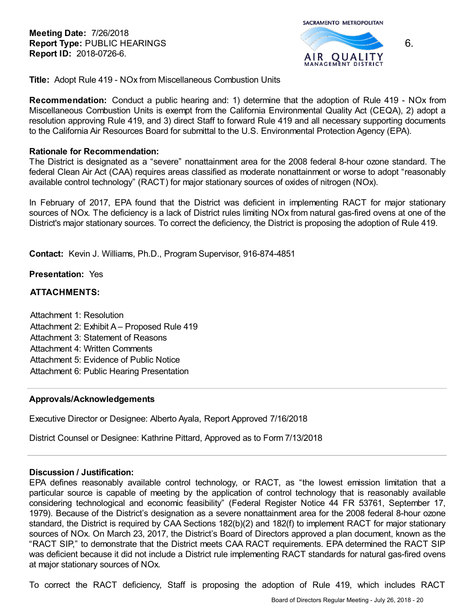**Meeting Date:** 7/26/2018 **Report Type:** PUBLIC HEARINGS **Report ID:** 2018-0726-6.



**Title:** Adopt Rule 419 - NOx from Miscellaneous Combustion Units

**Recommendation:** Conduct a public hearing and: 1) determine that the adoption of Rule 419 - NOx from Miscellaneous Combustion Units is exempt from the California Environmental Quality Act (CEQA), 2) adopt a resolution approving Rule 419, and 3) direct Staff to forward Rule 419 and all necessary supporting documents to the California Air Resources Board for submittal to the U.S. Environmental Protection Agency (EPA).

### **Rationale for Recommendation:**

The District is designated as a "severe" nonattainment area for the 2008 federal 8-hour ozone standard. The federal Clean Air Act (CAA) requires areas classified as moderate nonattainment or worse to adopt "reasonably available control technology" (RACT) for major stationary sources of oxides of nitrogen (NOx).

In February of 2017, EPA found that the District was deficient in implementing RACT for major stationary sources of NOx. The deficiency is a lack of District rules limiting NOx from natural gas-fired ovens at one of the District's major stationary sources. To correct the deficiency, the District is proposing the adoption of Rule 419.

**Contact:** Kevin J. Williams, Ph.D., Program Supervisor, 916-874-4851

**Presentation:** Yes

### **ATTACHMENTS:**

Attachment 1: Resolution Attachment 2: Exhibit A – Proposed Rule 419 Attachment 3: Statement of Reasons Attachment 4: Written Comments Attachment 5: Evidence of Public Notice Attachment 6: Public Hearing Presentation

### **Approvals/Acknowledgements**

Executive Director or Designee: Alberto Ayala, Report Approved 7/16/2018

District Counsel or Designee: Kathrine Pittard, Approved as to Form 7/13/2018

### **Discussion / Justification:**

EPA defines reasonably available control technology, or RACT, as "the lowest emission limitation that a particular source is capable of meeting by the application of control technology that is reasonably available considering technological and economic feasibility" (Federal Register Notice 44 FR 53761, September 17, 1979). Because of the District's designation as a severe nonattainment area for the 2008 federal 8-hour ozone standard, the District is required by CAA Sections 182(b)(2) and 182(f) to implement RACT for major stationary sources of NOx. On March 23, 2017, the District's Board of Directors approved a plan document, known as the "RACT SIP," to demonstrate that the District meets CAA RACT requirements. EPA determined the RACT SIP was deficient because it did not include a District rule implementing RACT standards for natural gas-fired ovens at major stationary sources of NOx.

To correct the RACT deficiency, Staff is proposing the adoption of Rule 419, which includes RACT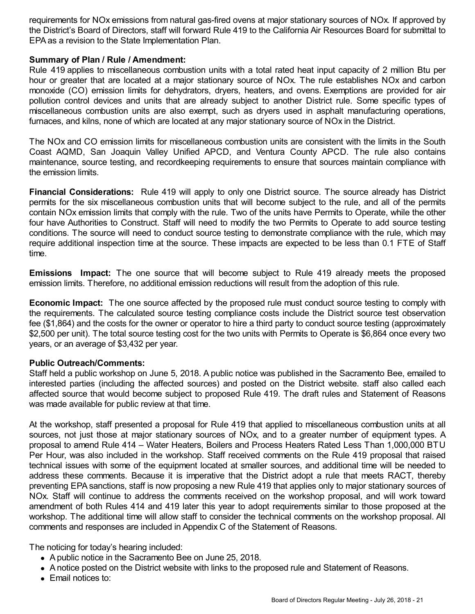requirements for NOx emissions from natural gas-fired ovens at major stationary sources of NOx. If approved by the District's Board of Directors, staff will forward Rule 419 to the California Air Resources Board for submittal to EPA as a revision to the State Implementation Plan.

# **Summary of Plan / Rule / Amendment:**

Rule 419 applies to miscellaneous combustion units with a total rated heat input capacity of 2 million Btu per hour or greater that are located at a major stationary source of NOx. The rule establishes NOx and carbon monoxide (CO) emission limits for dehydrators, dryers, heaters, and ovens. Exemptions are provided for air pollution control devices and units that are already subject to another District rule. Some specific types of miscellaneous combustion units are also exempt, such as dryers used in asphalt manufacturing operations, furnaces, and kilns, none of which are located at any major stationary source of NOx in the District.

The NOx and CO emission limits for miscellaneous combustion units are consistent with the limits in the South Coast AQMD, San Joaquin Valley Unified APCD, and Ventura County APCD. The rule also contains maintenance, source testing, and recordkeeping requirements to ensure that sources maintain compliance with the emission limits.

**Financial Considerations:** Rule 419 will apply to only one District source. The source already has District permits for the six miscellaneous combustion units that will become subject to the rule, and all of the permits contain NOx emission limits that comply with the rule. Two of the units have Permits to Operate, while the other four have Authorities to Construct. Staff will need to modify the two Permits to Operate to add source testing conditions. The source will need to conduct source testing to demonstrate compliance with the rule, which may require additional inspection time at the source. These impacts are expected to be less than 0.1 FTE of Staff time.

**Emissions Impact:** The one source that will become subject to Rule 419 already meets the proposed emission limits. Therefore, no additional emission reductions will result from the adoption of this rule.

**Economic Impact:** The one source affected by the proposed rule must conduct source testing to comply with the requirements. The calculated source testing compliance costs include the District source test observation fee (\$1,864) and the costs for the owner or operator to hire a third party to conduct source testing (approximately \$2,500 per unit). The total source testing cost for the two units with Permits to Operate is \$6,864 once every two years, or an average of \$3,432 per year.

# **Public Outreach/Comments:**

Staff held a public workshop on June 5, 2018. A public notice was published in the Sacramento Bee, emailed to interested parties (including the affected sources) and posted on the District website. staff also called each affected source that would become subject to proposed Rule 419. The draft rules and Statement of Reasons was made available for public review at that time.

At the workshop, staff presented a proposal for Rule 419 that applied to miscellaneous combustion units at all sources, not just those at major stationary sources of NOx, and to a greater number of equipment types. A proposal to amend Rule 414 – Water Heaters, Boilers and Process Heaters Rated Less Than 1,000,000 BTU Per Hour, was also included in the workshop. Staff received comments on the Rule 419 proposal that raised technical issues with some of the equipment located at smaller sources, and additional time will be needed to address these comments. Because it is imperative that the District adopt a rule that meets RACT, thereby preventing EPA sanctions, staff is now proposing a new Rule 419 that applies only to major stationary sources of NOx. Staff will continue to address the comments received on the workshop proposal, and will work toward amendment of both Rules 414 and 419 later this year to adopt requirements similar to those proposed at the workshop. The additional time will allow staff to consider the technical comments on the workshop proposal. All comments and responses are included in Appendix C of the Statement of Reasons.

The noticing for today's hearing included:

- A public notice in the Sacramento Bee on June 25, 2018.
- A notice posted on the District website with links to the proposed rule and Statement of Reasons.
- Email notices to: